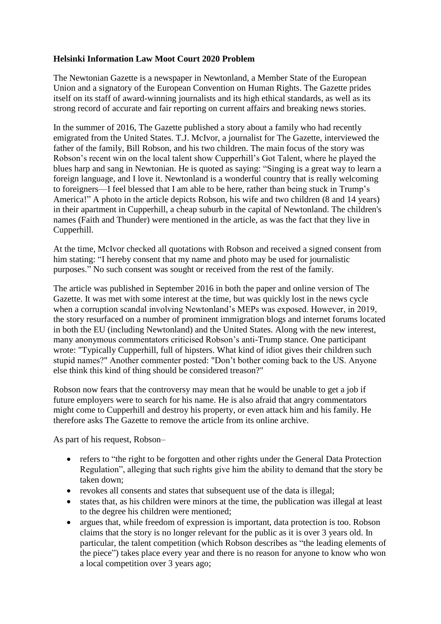## **Helsinki Information Law Moot Court 2020 Problem**

The Newtonian Gazette is a newspaper in Newtonland, a Member State of the European Union and a signatory of the European Convention on Human Rights. The Gazette prides itself on its staff of award-winning journalists and its high ethical standards, as well as its strong record of accurate and fair reporting on current affairs and breaking news stories.

In the summer of 2016, The Gazette published a story about a family who had recently emigrated from the United States. T.J. McIvor, a journalist for The Gazette, interviewed the father of the family, Bill Robson, and his two children. The main focus of the story was Robson's recent win on the local talent show Cupperhill's Got Talent, where he played the blues harp and sang in Newtonian. He is quoted as saying: "Singing is a great way to learn a foreign language, and I love it. Newtonland is a wonderful country that is really welcoming to foreigners—I feel blessed that I am able to be here, rather than being stuck in Trump's America!" A photo in the article depicts Robson, his wife and two children (8 and 14 years) in their apartment in Cupperhill, a cheap suburb in the capital of Newtonland. The children's names (Faith and Thunder) were mentioned in the article, as was the fact that they live in Cupperhill.

At the time, McIvor checked all quotations with Robson and received a signed consent from him stating: "I hereby consent that my name and photo may be used for journalistic purposes." No such consent was sought or received from the rest of the family.

The article was published in September 2016 in both the paper and online version of The Gazette. It was met with some interest at the time, but was quickly lost in the news cycle when a corruption scandal involving Newtonland's MEPs was exposed. However, in 2019, the story resurfaced on a number of prominent immigration blogs and internet forums located in both the EU (including Newtonland) and the United States. Along with the new interest, many anonymous commentators criticised Robson's anti-Trump stance. One participant wrote: "Typically Cupperhill, full of hipsters. What kind of idiot gives their children such stupid names?" Another commenter posted: "Don't bother coming back to the US. Anyone else think this kind of thing should be considered treason?"

Robson now fears that the controversy may mean that he would be unable to get a job if future employers were to search for his name. He is also afraid that angry commentators might come to Cupperhill and destroy his property, or even attack him and his family. He therefore asks The Gazette to remove the article from its online archive.

As part of his request, Robson–

- refers to "the right to be forgotten and other rights under the General Data Protection Regulation", alleging that such rights give him the ability to demand that the story be taken down;
- revokes all consents and states that subsequent use of the data is illegal;
- states that, as his children were minors at the time, the publication was illegal at least to the degree his children were mentioned;
- argues that, while freedom of expression is important, data protection is too. Robson claims that the story is no longer relevant for the public as it is over 3 years old. In particular, the talent competition (which Robson describes as "the leading elements of the piece") takes place every year and there is no reason for anyone to know who won a local competition over 3 years ago;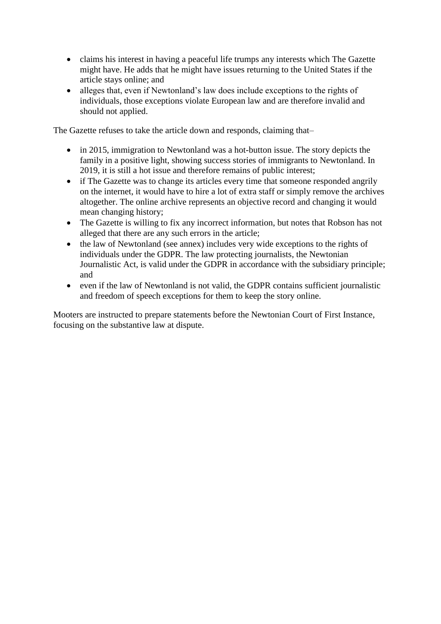- claims his interest in having a peaceful life trumps any interests which The Gazette might have. He adds that he might have issues returning to the United States if the article stays online; and
- alleges that, even if Newtonland's law does include exceptions to the rights of individuals, those exceptions violate European law and are therefore invalid and should not applied.

The Gazette refuses to take the article down and responds, claiming that–

- in 2015, immigration to Newtonland was a hot-button issue. The story depicts the family in a positive light, showing success stories of immigrants to Newtonland. In 2019, it is still a hot issue and therefore remains of public interest;
- if The Gazette was to change its articles every time that someone responded angrily on the internet, it would have to hire a lot of extra staff or simply remove the archives altogether. The online archive represents an objective record and changing it would mean changing history;
- The Gazette is willing to fix any incorrect information, but notes that Robson has not alleged that there are any such errors in the article;
- the law of Newtonland (see annex) includes very wide exceptions to the rights of individuals under the GDPR. The law protecting journalists, the Newtonian Journalistic Act, is valid under the GDPR in accordance with the subsidiary principle; and
- even if the law of Newtonland is not valid, the GDPR contains sufficient journalistic and freedom of speech exceptions for them to keep the story online.

Mooters are instructed to prepare statements before the Newtonian Court of First Instance, focusing on the substantive law at dispute.